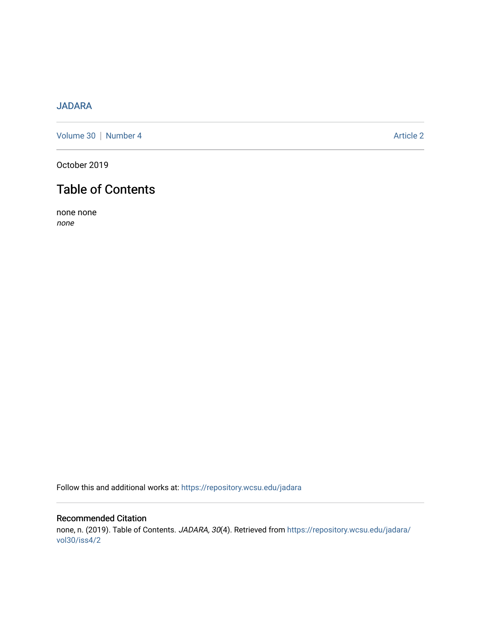# [JADARA](https://repository.wcsu.edu/jadara)

[Volume 30](https://repository.wcsu.edu/jadara/vol30) | [Number 4](https://repository.wcsu.edu/jadara/vol30/iss4) Article 2

October 2019

# Table of Contents

none none none

Follow this and additional works at: [https://repository.wcsu.edu/jadara](https://repository.wcsu.edu/jadara?utm_source=repository.wcsu.edu%2Fjadara%2Fvol30%2Fiss4%2F2&utm_medium=PDF&utm_campaign=PDFCoverPages)

## Recommended Citation none, n. (2019). Table of Contents. JADARA, 30(4). Retrieved from [https://repository.wcsu.edu/jadara/](https://repository.wcsu.edu/jadara/vol30/iss4/2?utm_source=repository.wcsu.edu%2Fjadara%2Fvol30%2Fiss4%2F2&utm_medium=PDF&utm_campaign=PDFCoverPages) [vol30/iss4/2](https://repository.wcsu.edu/jadara/vol30/iss4/2?utm_source=repository.wcsu.edu%2Fjadara%2Fvol30%2Fiss4%2F2&utm_medium=PDF&utm_campaign=PDFCoverPages)